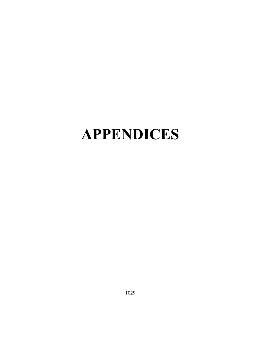## APPENDICES